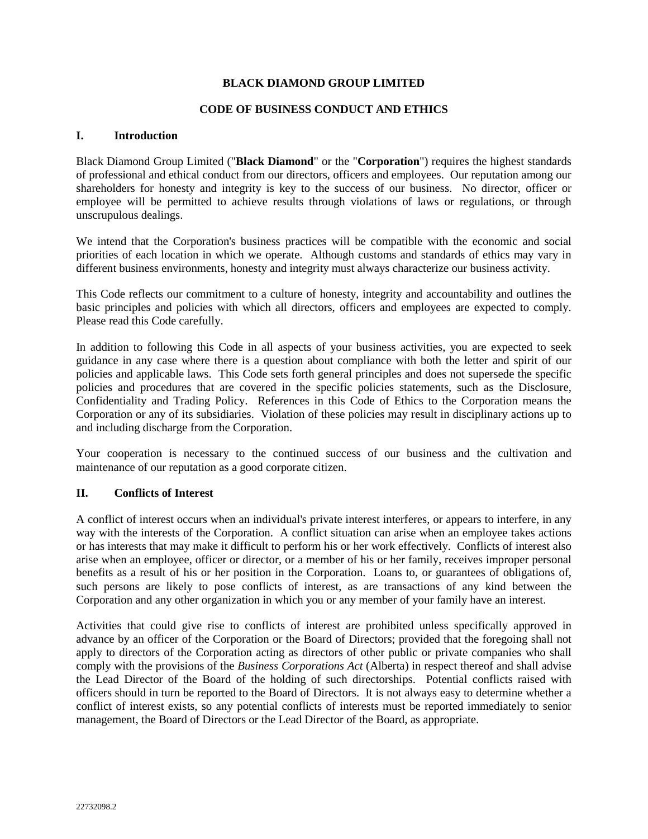#### **CODE OF BUSINESS CONDUCT AND ETHICS**

#### **I. Introduction**

Black Diamond Group Limited ("**Black Diamond**" or the "**Corporation**") requires the highest standards of professional and ethical conduct from our directors, officers and employees. Our reputation among our shareholders for honesty and integrity is key to the success of our business. No director, officer or employee will be permitted to achieve results through violations of laws or regulations, or through unscrupulous dealings.

We intend that the Corporation's business practices will be compatible with the economic and social priorities of each location in which we operate. Although customs and standards of ethics may vary in different business environments, honesty and integrity must always characterize our business activity.

This Code reflects our commitment to a culture of honesty, integrity and accountability and outlines the basic principles and policies with which all directors, officers and employees are expected to comply. Please read this Code carefully.

In addition to following this Code in all aspects of your business activities, you are expected to seek guidance in any case where there is a question about compliance with both the letter and spirit of our policies and applicable laws. This Code sets forth general principles and does not supersede the specific policies and procedures that are covered in the specific policies statements, such as the Disclosure, Confidentiality and Trading Policy. References in this Code of Ethics to the Corporation means the Corporation or any of its subsidiaries. Violation of these policies may result in disciplinary actions up to and including discharge from the Corporation.

Your cooperation is necessary to the continued success of our business and the cultivation and maintenance of our reputation as a good corporate citizen.

## **II. Conflicts of Interest**

A conflict of interest occurs when an individual's private interest interferes, or appears to interfere, in any way with the interests of the Corporation. A conflict situation can arise when an employee takes actions or has interests that may make it difficult to perform his or her work effectively. Conflicts of interest also arise when an employee, officer or director, or a member of his or her family, receives improper personal benefits as a result of his or her position in the Corporation. Loans to, or guarantees of obligations of, such persons are likely to pose conflicts of interest, as are transactions of any kind between the Corporation and any other organization in which you or any member of your family have an interest.

Activities that could give rise to conflicts of interest are prohibited unless specifically approved in advance by an officer of the Corporation or the Board of Directors; provided that the foregoing shall not apply to directors of the Corporation acting as directors of other public or private companies who shall comply with the provisions of the *Business Corporations Act* (Alberta) in respect thereof and shall advise the Lead Director of the Board of the holding of such directorships. Potential conflicts raised with officers should in turn be reported to the Board of Directors. It is not always easy to determine whether a conflict of interest exists, so any potential conflicts of interests must be reported immediately to senior management, the Board of Directors or the Lead Director of the Board, as appropriate.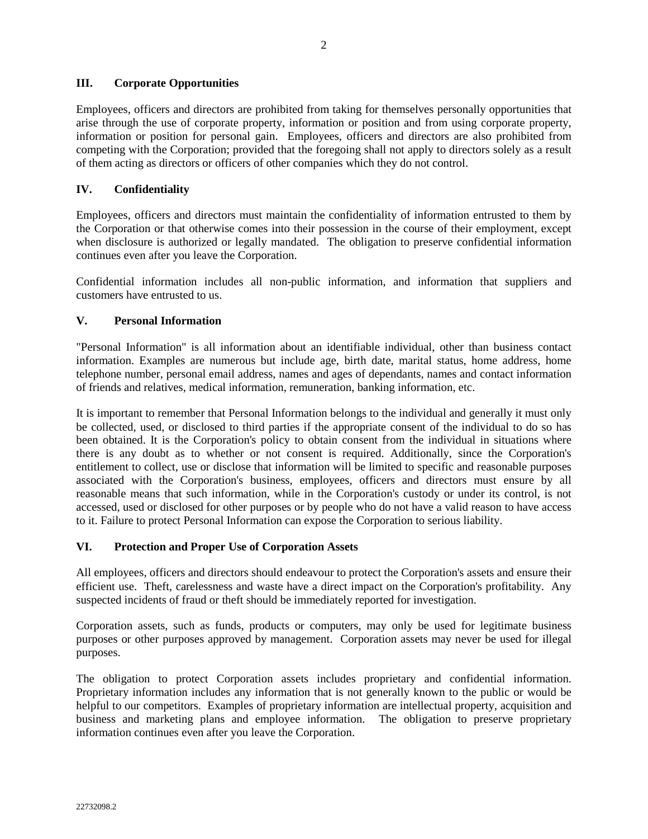## **III. Corporate Opportunities**

Employees, officers and directors are prohibited from taking for themselves personally opportunities that arise through the use of corporate property, information or position and from using corporate property, information or position for personal gain. Employees, officers and directors are also prohibited from competing with the Corporation; provided that the foregoing shall not apply to directors solely as a result of them acting as directors or officers of other companies which they do not control.

# **IV. Confidentiality**

Employees, officers and directors must maintain the confidentiality of information entrusted to them by the Corporation or that otherwise comes into their possession in the course of their employment, except when disclosure is authorized or legally mandated. The obligation to preserve confidential information continues even after you leave the Corporation.

Confidential information includes all non-public information, and information that suppliers and customers have entrusted to us.

# **V. Personal Information**

"Personal Information" is all information about an identifiable individual, other than business contact information. Examples are numerous but include age, birth date, marital status, home address, home telephone number, personal email address, names and ages of dependants, names and contact information of friends and relatives, medical information, remuneration, banking information, etc.

It is important to remember that Personal Information belongs to the individual and generally it must only be collected, used, or disclosed to third parties if the appropriate consent of the individual to do so has been obtained. It is the Corporation's policy to obtain consent from the individual in situations where there is any doubt as to whether or not consent is required. Additionally, since the Corporation's entitlement to collect, use or disclose that information will be limited to specific and reasonable purposes associated with the Corporation's business, employees, officers and directors must ensure by all reasonable means that such information, while in the Corporation's custody or under its control, is not accessed, used or disclosed for other purposes or by people who do not have a valid reason to have access to it. Failure to protect Personal Information can expose the Corporation to serious liability.

## **VI. Protection and Proper Use of Corporation Assets**

All employees, officers and directors should endeavour to protect the Corporation's assets and ensure their efficient use. Theft, carelessness and waste have a direct impact on the Corporation's profitability. Any suspected incidents of fraud or theft should be immediately reported for investigation.

Corporation assets, such as funds, products or computers, may only be used for legitimate business purposes or other purposes approved by management. Corporation assets may never be used for illegal purposes.

The obligation to protect Corporation assets includes proprietary and confidential information. Proprietary information includes any information that is not generally known to the public or would be helpful to our competitors. Examples of proprietary information are intellectual property, acquisition and business and marketing plans and employee information. The obligation to preserve proprietary information continues even after you leave the Corporation.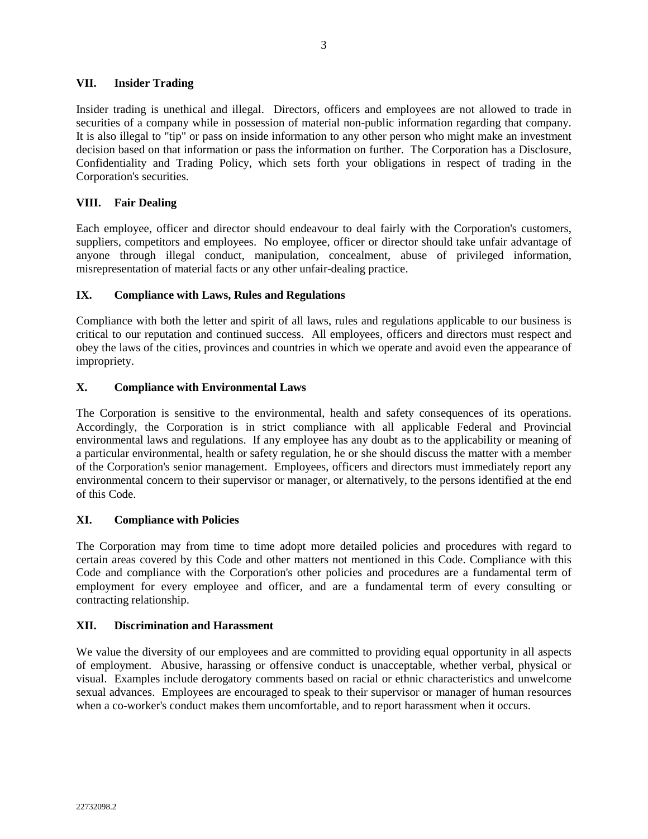#### **VII. Insider Trading**

Insider trading is unethical and illegal. Directors, officers and employees are not allowed to trade in securities of a company while in possession of material non-public information regarding that company. It is also illegal to "tip" or pass on inside information to any other person who might make an investment decision based on that information or pass the information on further. The Corporation has a Disclosure, Confidentiality and Trading Policy, which sets forth your obligations in respect of trading in the Corporation's securities.

## **VIII. Fair Dealing**

Each employee, officer and director should endeavour to deal fairly with the Corporation's customers, suppliers, competitors and employees. No employee, officer or director should take unfair advantage of anyone through illegal conduct, manipulation, concealment, abuse of privileged information, misrepresentation of material facts or any other unfair-dealing practice.

## **IX. Compliance with Laws, Rules and Regulations**

Compliance with both the letter and spirit of all laws, rules and regulations applicable to our business is critical to our reputation and continued success. All employees, officers and directors must respect and obey the laws of the cities, provinces and countries in which we operate and avoid even the appearance of impropriety.

#### **X. Compliance with Environmental Laws**

The Corporation is sensitive to the environmental, health and safety consequences of its operations. Accordingly, the Corporation is in strict compliance with all applicable Federal and Provincial environmental laws and regulations. If any employee has any doubt as to the applicability or meaning of a particular environmental, health or safety regulation, he or she should discuss the matter with a member of the Corporation's senior management. Employees, officers and directors must immediately report any environmental concern to their supervisor or manager, or alternatively, to the persons identified at the end of this Code.

#### **XI. Compliance with Policies**

The Corporation may from time to time adopt more detailed policies and procedures with regard to certain areas covered by this Code and other matters not mentioned in this Code. Compliance with this Code and compliance with the Corporation's other policies and procedures are a fundamental term of employment for every employee and officer, and are a fundamental term of every consulting or contracting relationship.

## **XII. Discrimination and Harassment**

We value the diversity of our employees and are committed to providing equal opportunity in all aspects of employment. Abusive, harassing or offensive conduct is unacceptable, whether verbal, physical or visual. Examples include derogatory comments based on racial or ethnic characteristics and unwelcome sexual advances. Employees are encouraged to speak to their supervisor or manager of human resources when a co-worker's conduct makes them uncomfortable, and to report harassment when it occurs.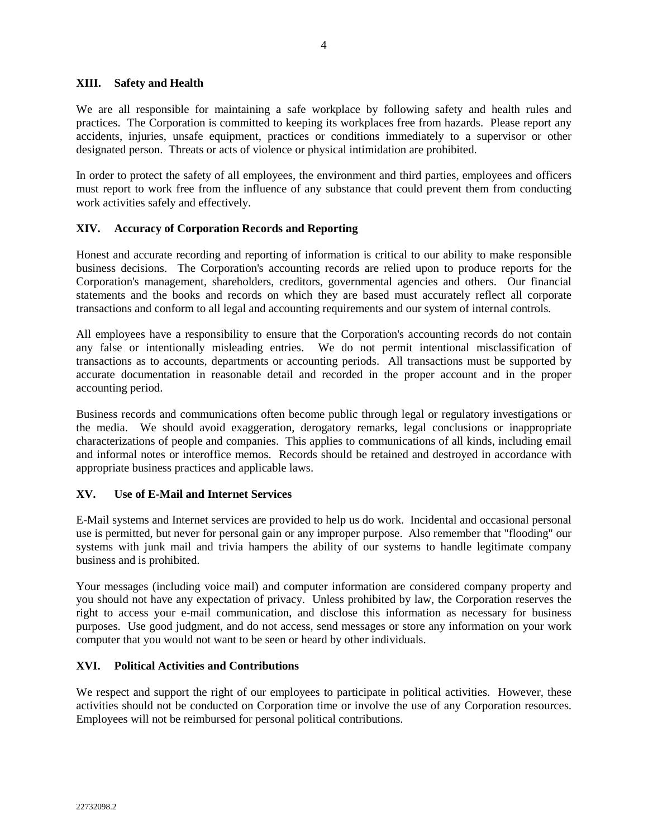#### **XIII. Safety and Health**

We are all responsible for maintaining a safe workplace by following safety and health rules and practices. The Corporation is committed to keeping its workplaces free from hazards. Please report any accidents, injuries, unsafe equipment, practices or conditions immediately to a supervisor or other designated person. Threats or acts of violence or physical intimidation are prohibited.

In order to protect the safety of all employees, the environment and third parties, employees and officers must report to work free from the influence of any substance that could prevent them from conducting work activities safely and effectively.

## **XIV. Accuracy of Corporation Records and Reporting**

Honest and accurate recording and reporting of information is critical to our ability to make responsible business decisions. The Corporation's accounting records are relied upon to produce reports for the Corporation's management, shareholders, creditors, governmental agencies and others. Our financial statements and the books and records on which they are based must accurately reflect all corporate transactions and conform to all legal and accounting requirements and our system of internal controls.

All employees have a responsibility to ensure that the Corporation's accounting records do not contain any false or intentionally misleading entries. We do not permit intentional misclassification of transactions as to accounts, departments or accounting periods. All transactions must be supported by accurate documentation in reasonable detail and recorded in the proper account and in the proper accounting period.

Business records and communications often become public through legal or regulatory investigations or the media. We should avoid exaggeration, derogatory remarks, legal conclusions or inappropriate characterizations of people and companies. This applies to communications of all kinds, including email and informal notes or interoffice memos. Records should be retained and destroyed in accordance with appropriate business practices and applicable laws.

## **XV. Use of E-Mail and Internet Services**

E-Mail systems and Internet services are provided to help us do work. Incidental and occasional personal use is permitted, but never for personal gain or any improper purpose. Also remember that "flooding" our systems with junk mail and trivia hampers the ability of our systems to handle legitimate company business and is prohibited.

Your messages (including voice mail) and computer information are considered company property and you should not have any expectation of privacy. Unless prohibited by law, the Corporation reserves the right to access your e-mail communication, and disclose this information as necessary for business purposes. Use good judgment, and do not access, send messages or store any information on your work computer that you would not want to be seen or heard by other individuals.

## **XVI. Political Activities and Contributions**

We respect and support the right of our employees to participate in political activities. However, these activities should not be conducted on Corporation time or involve the use of any Corporation resources. Employees will not be reimbursed for personal political contributions.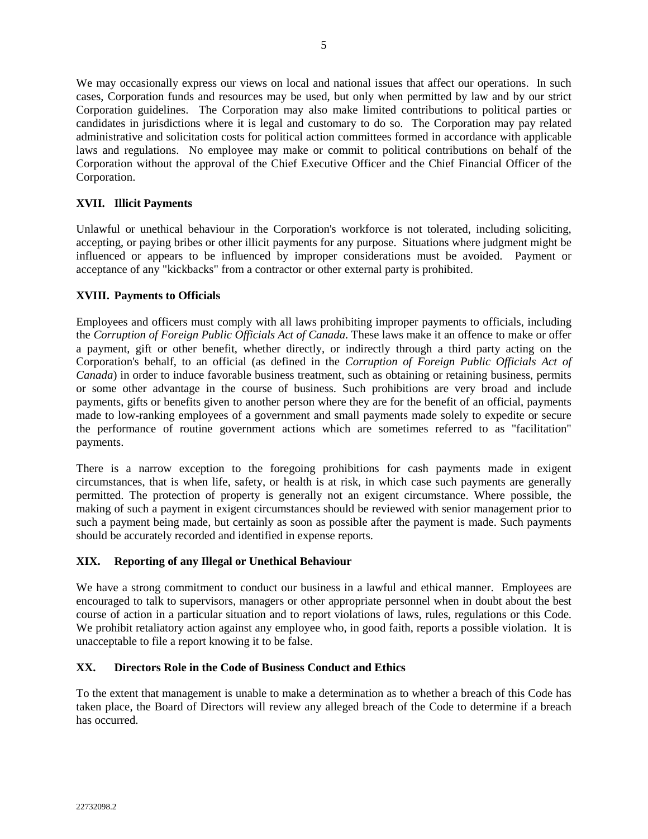We may occasionally express our views on local and national issues that affect our operations. In such cases, Corporation funds and resources may be used, but only when permitted by law and by our strict Corporation guidelines. The Corporation may also make limited contributions to political parties or candidates in jurisdictions where it is legal and customary to do so. The Corporation may pay related administrative and solicitation costs for political action committees formed in accordance with applicable laws and regulations. No employee may make or commit to political contributions on behalf of the Corporation without the approval of the Chief Executive Officer and the Chief Financial Officer of the Corporation.

# **XVII. Illicit Payments**

Unlawful or unethical behaviour in the Corporation's workforce is not tolerated, including soliciting, accepting, or paying bribes or other illicit payments for any purpose. Situations where judgment might be influenced or appears to be influenced by improper considerations must be avoided. Payment or acceptance of any "kickbacks" from a contractor or other external party is prohibited.

## **XVIII. Payments to Officials**

Employees and officers must comply with all laws prohibiting improper payments to officials, including the *Corruption of Foreign Public Officials Act of Canada*. These laws make it an offence to make or offer a payment, gift or other benefit, whether directly, or indirectly through a third party acting on the Corporation's behalf, to an official (as defined in the *Corruption of Foreign Public Officials Act of Canada*) in order to induce favorable business treatment, such as obtaining or retaining business, permits or some other advantage in the course of business. Such prohibitions are very broad and include payments, gifts or benefits given to another person where they are for the benefit of an official, payments made to low-ranking employees of a government and small payments made solely to expedite or secure the performance of routine government actions which are sometimes referred to as "facilitation" payments.

There is a narrow exception to the foregoing prohibitions for cash payments made in exigent circumstances, that is when life, safety, or health is at risk, in which case such payments are generally permitted. The protection of property is generally not an exigent circumstance. Where possible, the making of such a payment in exigent circumstances should be reviewed with senior management prior to such a payment being made, but certainly as soon as possible after the payment is made. Such payments should be accurately recorded and identified in expense reports.

## **XIX. Reporting of any Illegal or Unethical Behaviour**

We have a strong commitment to conduct our business in a lawful and ethical manner. Employees are encouraged to talk to supervisors, managers or other appropriate personnel when in doubt about the best course of action in a particular situation and to report violations of laws, rules, regulations or this Code. We prohibit retaliatory action against any employee who, in good faith, reports a possible violation. It is unacceptable to file a report knowing it to be false.

## **XX. Directors Role in the Code of Business Conduct and Ethics**

To the extent that management is unable to make a determination as to whether a breach of this Code has taken place, the Board of Directors will review any alleged breach of the Code to determine if a breach has occurred.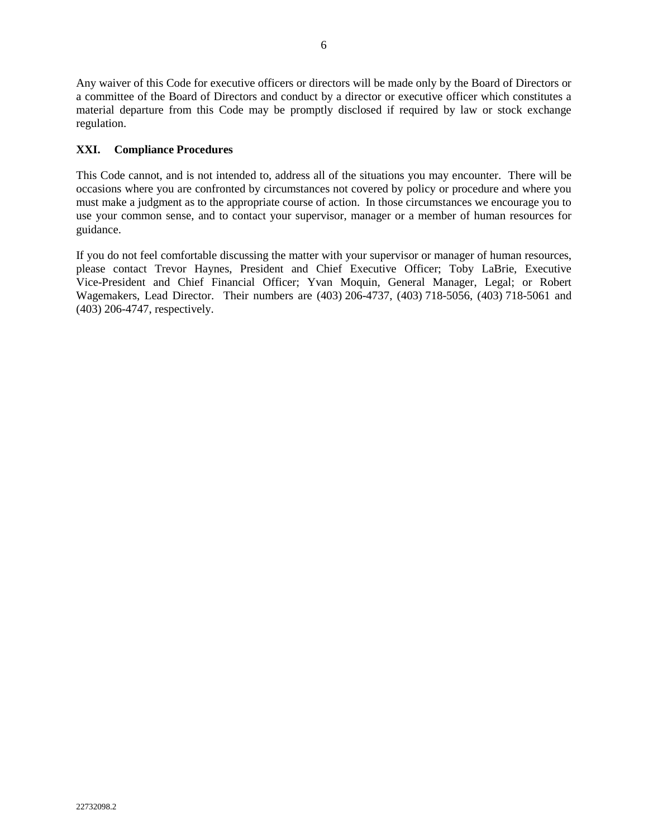Any waiver of this Code for executive officers or directors will be made only by the Board of Directors or a committee of the Board of Directors and conduct by a director or executive officer which constitutes a material departure from this Code may be promptly disclosed if required by law or stock exchange regulation.

# **XXI. Compliance Procedures**

This Code cannot, and is not intended to, address all of the situations you may encounter. There will be occasions where you are confronted by circumstances not covered by policy or procedure and where you must make a judgment as to the appropriate course of action. In those circumstances we encourage you to use your common sense, and to contact your supervisor, manager or a member of human resources for guidance.

If you do not feel comfortable discussing the matter with your supervisor or manager of human resources, please contact Trevor Haynes, President and Chief Executive Officer; Toby LaBrie, Executive Vice-President and Chief Financial Officer; Yvan Moquin, General Manager, Legal; or Robert Wagemakers, Lead Director. Their numbers are (403) 206-4737, (403) 718-5056, (403) 718-5061 and (403) 206-4747, respectively.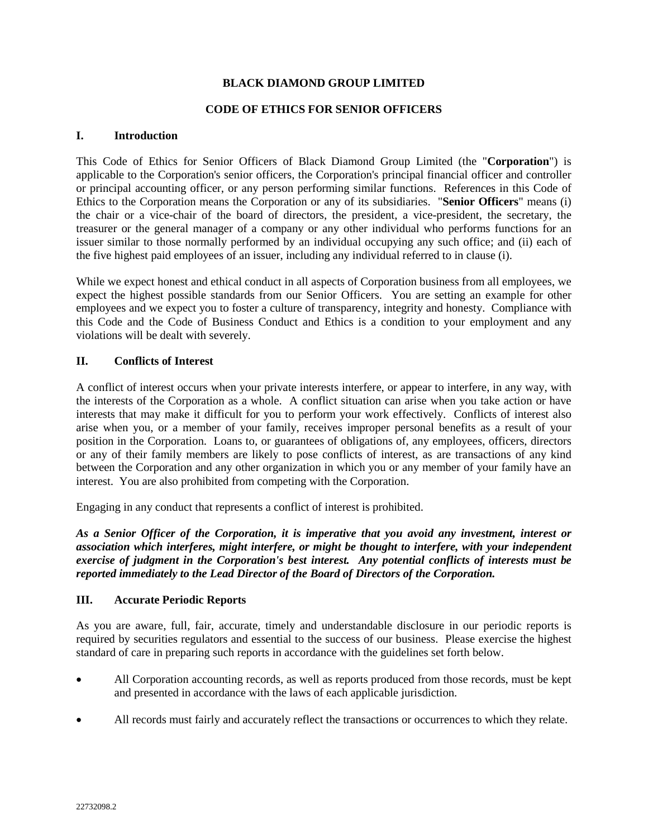## **CODE OF ETHICS FOR SENIOR OFFICERS**

## **I. Introduction**

This Code of Ethics for Senior Officers of Black Diamond Group Limited (the "**Corporation**") is applicable to the Corporation's senior officers, the Corporation's principal financial officer and controller or principal accounting officer, or any person performing similar functions. References in this Code of Ethics to the Corporation means the Corporation or any of its subsidiaries. "**Senior Officers**" means (i) the chair or a vice-chair of the board of directors, the president, a vice-president, the secretary, the treasurer or the general manager of a company or any other individual who performs functions for an issuer similar to those normally performed by an individual occupying any such office; and (ii) each of the five highest paid employees of an issuer, including any individual referred to in clause (i).

While we expect honest and ethical conduct in all aspects of Corporation business from all employees, we expect the highest possible standards from our Senior Officers. You are setting an example for other employees and we expect you to foster a culture of transparency, integrity and honesty. Compliance with this Code and the Code of Business Conduct and Ethics is a condition to your employment and any violations will be dealt with severely.

# **II. Conflicts of Interest**

A conflict of interest occurs when your private interests interfere, or appear to interfere, in any way, with the interests of the Corporation as a whole. A conflict situation can arise when you take action or have interests that may make it difficult for you to perform your work effectively. Conflicts of interest also arise when you, or a member of your family, receives improper personal benefits as a result of your position in the Corporation. Loans to, or guarantees of obligations of, any employees, officers, directors or any of their family members are likely to pose conflicts of interest, as are transactions of any kind between the Corporation and any other organization in which you or any member of your family have an interest. You are also prohibited from competing with the Corporation.

Engaging in any conduct that represents a conflict of interest is prohibited.

*As a Senior Officer of the Corporation, it is imperative that you avoid any investment, interest or association which interferes, might interfere, or might be thought to interfere, with your independent exercise of judgment in the Corporation's best interest. Any potential conflicts of interests must be reported immediately to the Lead Director of the Board of Directors of the Corporation.* 

## **III. Accurate Periodic Reports**

As you are aware, full, fair, accurate, timely and understandable disclosure in our periodic reports is required by securities regulators and essential to the success of our business. Please exercise the highest standard of care in preparing such reports in accordance with the guidelines set forth below.

- All Corporation accounting records, as well as reports produced from those records, must be kept and presented in accordance with the laws of each applicable jurisdiction.
- All records must fairly and accurately reflect the transactions or occurrences to which they relate.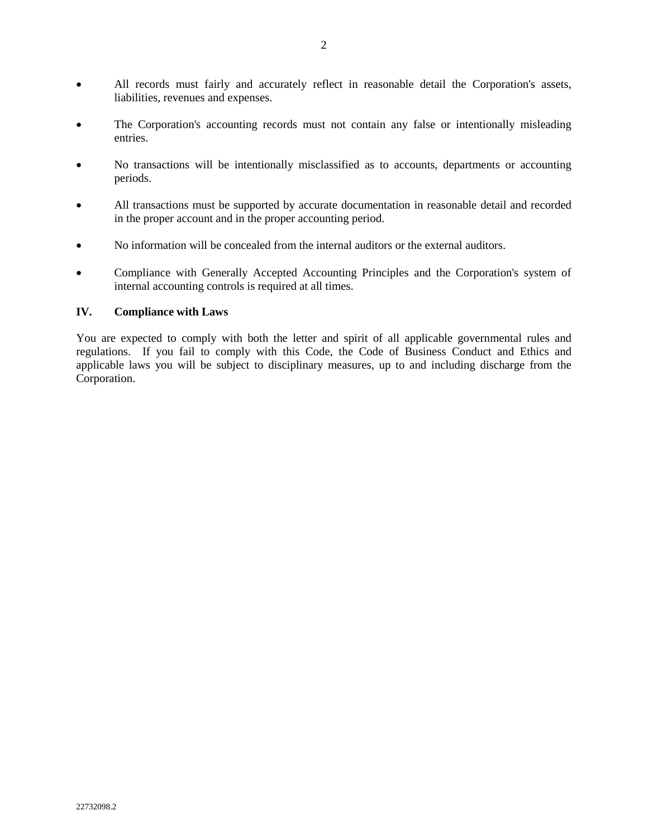- All records must fairly and accurately reflect in reasonable detail the Corporation's assets, liabilities, revenues and expenses.
- The Corporation's accounting records must not contain any false or intentionally misleading entries.
- No transactions will be intentionally misclassified as to accounts, departments or accounting periods.
- All transactions must be supported by accurate documentation in reasonable detail and recorded in the proper account and in the proper accounting period.
- No information will be concealed from the internal auditors or the external auditors.
- Compliance with Generally Accepted Accounting Principles and the Corporation's system of internal accounting controls is required at all times.

#### **IV. Compliance with Laws**

You are expected to comply with both the letter and spirit of all applicable governmental rules and regulations. If you fail to comply with this Code, the Code of Business Conduct and Ethics and applicable laws you will be subject to disciplinary measures, up to and including discharge from the Corporation.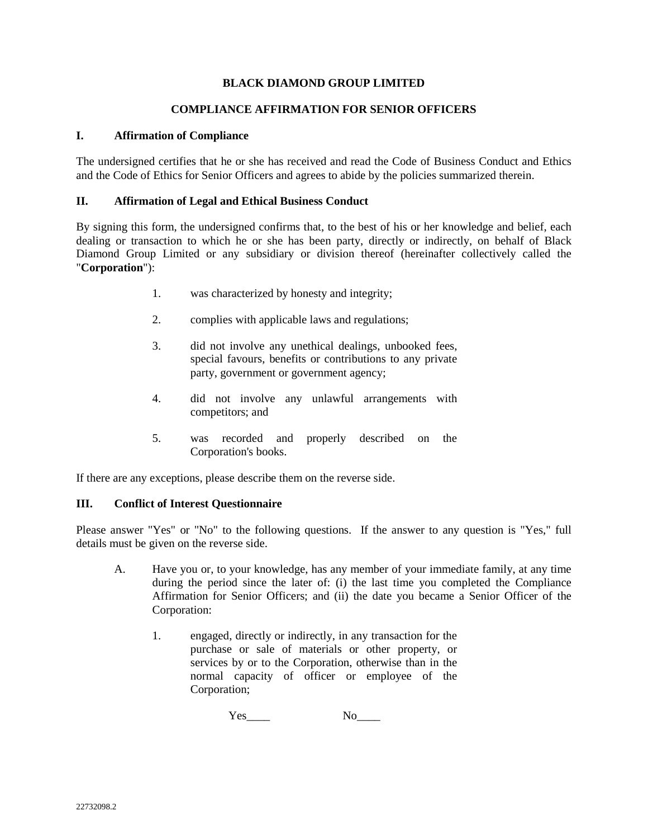## **COMPLIANCE AFFIRMATION FOR SENIOR OFFICERS**

## **I. Affirmation of Compliance**

The undersigned certifies that he or she has received and read the Code of Business Conduct and Ethics and the Code of Ethics for Senior Officers and agrees to abide by the policies summarized therein.

# **II. Affirmation of Legal and Ethical Business Conduct**

By signing this form, the undersigned confirms that, to the best of his or her knowledge and belief, each dealing or transaction to which he or she has been party, directly or indirectly, on behalf of Black Diamond Group Limited or any subsidiary or division thereof (hereinafter collectively called the "**Corporation**"):

- 1. was characterized by honesty and integrity;
- 2. complies with applicable laws and regulations;
- 3. did not involve any unethical dealings, unbooked fees, special favours, benefits or contributions to any private party, government or government agency;
- 4. did not involve any unlawful arrangements with competitors; and
- 5. was recorded and properly described on the Corporation's books.

If there are any exceptions, please describe them on the reverse side.

## **III. Conflict of Interest Questionnaire**

Please answer "Yes" or "No" to the following questions. If the answer to any question is "Yes," full details must be given on the reverse side.

- A. Have you or, to your knowledge, has any member of your immediate family, at any time during the period since the later of: (i) the last time you completed the Compliance Affirmation for Senior Officers; and (ii) the date you became a Senior Officer of the Corporation:
	- 1. engaged, directly or indirectly, in any transaction for the purchase or sale of materials or other property, or services by or to the Corporation, otherwise than in the normal capacity of officer or employee of the Corporation;

Yes\_\_\_\_ No\_\_\_\_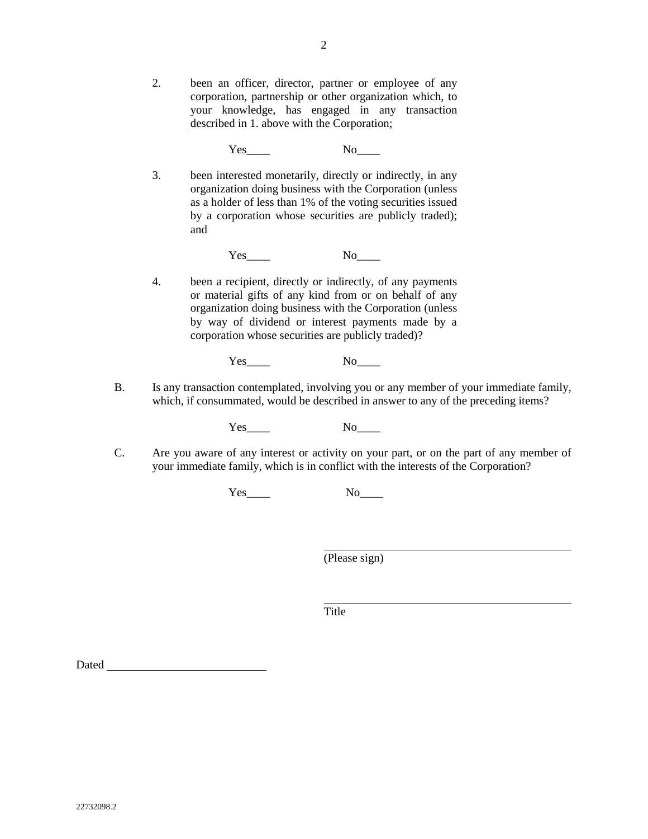2. been an officer, director, partner or employee of any corporation, partnership or other organization which, to your knowledge, has engaged in any transaction described in 1. above with the Corporation;

Yes No

3. been interested monetarily, directly or indirectly, in any organization doing business with the Corporation (unless as a holder of less than 1% of the voting securities issued by a corporation whose securities are publicly traded); and

Yes \_ No\_\_\_\_

4. been a recipient, directly or indirectly, of any payments or material gifts of any kind from or on behalf of any organization doing business with the Corporation (unless by way of dividend or interest payments made by a corporation whose securities are publicly traded)?

# Yes\_\_\_\_ No\_\_\_\_

B. Is any transaction contemplated, involving you or any member of your immediate family, which, if consummated, would be described in answer to any of the preceding items?

Yes No

C. Are you aware of any interest or activity on your part, or on the part of any member of your immediate family, which is in conflict with the interests of the Corporation?

Yes\_\_\_\_ No\_\_\_\_

(Please sign)

Title

Dated **Dates and Street Australian Control**